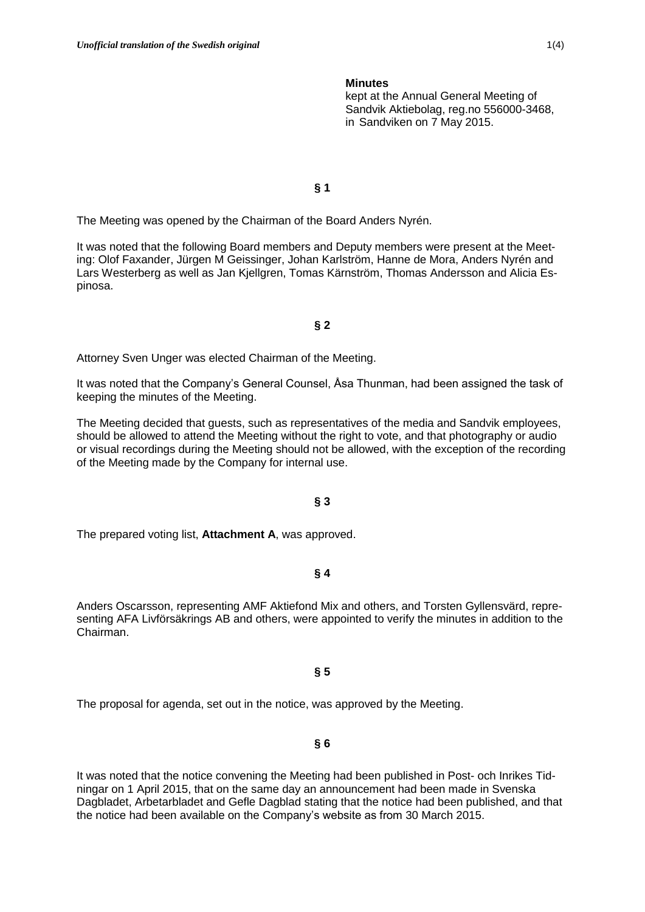#### **Minutes**

kept at the Annual General Meeting of Sandvik Aktiebolag, reg.no 556000-3468, in Sandviken on 7 May 2015.

# **§ 1**

The Meeting was opened by the Chairman of the Board Anders Nyrén.

It was noted that the following Board members and Deputy members were present at the Meeting: Olof Faxander, Jürgen M Geissinger, Johan Karlström, Hanne de Mora, Anders Nyrén and Lars Westerberg as well as Jan Kjellgren, Tomas Kärnström, Thomas Andersson and Alicia Espinosa.

#### **§ 2**

Attorney Sven Unger was elected Chairman of the Meeting.

It was noted that the Company's General Counsel, Åsa Thunman, had been assigned the task of keeping the minutes of the Meeting.

The Meeting decided that guests, such as representatives of the media and Sandvik employees, should be allowed to attend the Meeting without the right to vote, and that photography or audio or visual recordings during the Meeting should not be allowed, with the exception of the recording of the Meeting made by the Company for internal use.

#### **§ 3**

The prepared voting list, **Attachment A**, was approved.

### **§ 4**

Anders Oscarsson, representing AMF Aktiefond Mix and others, and Torsten Gyllensvärd, representing AFA Livförsäkrings AB and others, were appointed to verify the minutes in addition to the Chairman.

#### **§ 5**

The proposal for agenda, set out in the notice, was approved by the Meeting.

# **§ 6**

It was noted that the notice convening the Meeting had been published in Post- och Inrikes Tidningar on 1 April 2015, that on the same day an announcement had been made in Svenska Dagbladet, Arbetarbladet and Gefle Dagblad stating that the notice had been published, and that the notice had been available on the Company's website as from 30 March 2015.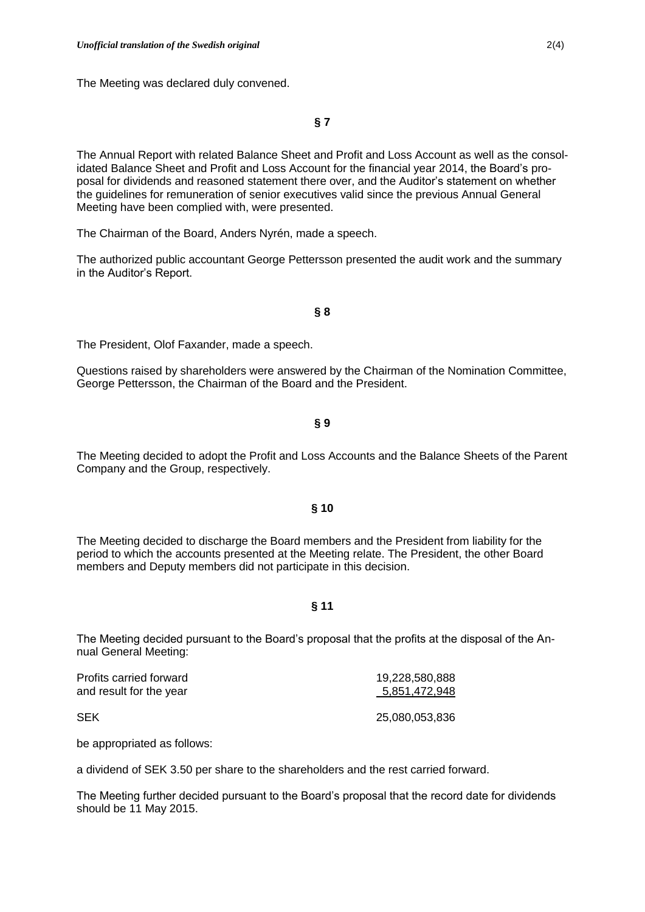The Meeting was declared duly convened.

**§ 7**

The Annual Report with related Balance Sheet and Profit and Loss Account as well as the consolidated Balance Sheet and Profit and Loss Account for the financial year 2014, the Board's proposal for dividends and reasoned statement there over, and the Auditor's statement on whether the guidelines for remuneration of senior executives valid since the previous Annual General Meeting have been complied with, were presented.

The Chairman of the Board, Anders Nyrén, made a speech.

The authorized public accountant George Pettersson presented the audit work and the summary in the Auditor's Report.

### **§ 8**

The President, Olof Faxander, made a speech.

Questions raised by shareholders were answered by the Chairman of the Nomination Committee, George Pettersson, the Chairman of the Board and the President.

**§ 9**

The Meeting decided to adopt the Profit and Loss Accounts and the Balance Sheets of the Parent Company and the Group, respectively.

# **§ 10**

The Meeting decided to discharge the Board members and the President from liability for the period to which the accounts presented at the Meeting relate. The President, the other Board members and Deputy members did not participate in this decision.

## **§ 11**

The Meeting decided pursuant to the Board's proposal that the profits at the disposal of the Annual General Meeting:

| Profits carried forward | 19,228,580,888 |
|-------------------------|----------------|
| and result for the year | 5,851,472,948  |
| <b>SEK</b>              | 25.080.053.836 |

be appropriated as follows:

a dividend of SEK 3.50 per share to the shareholders and the rest carried forward.

The Meeting further decided pursuant to the Board's proposal that the record date for dividends should be 11 May 2015.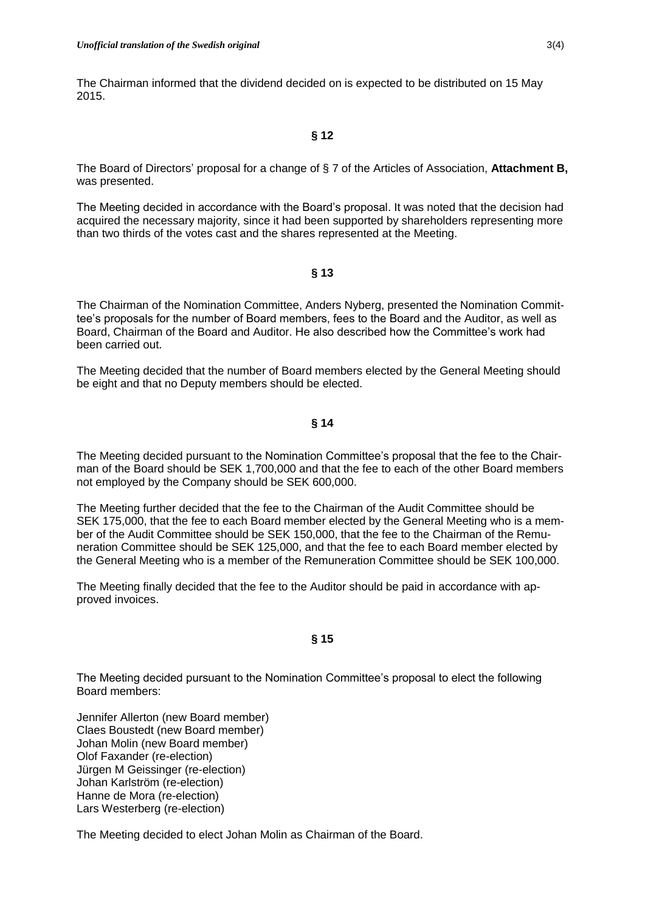The Chairman informed that the dividend decided on is expected to be distributed on 15 May 2015.

# **§ 12**

The Board of Directors' proposal for a change of § 7 of the Articles of Association, **Attachment B,**  was presented.

The Meeting decided in accordance with the Board's proposal. It was noted that the decision had acquired the necessary majority, since it had been supported by shareholders representing more than two thirds of the votes cast and the shares represented at the Meeting.

## **§ 13**

The Chairman of the Nomination Committee, Anders Nyberg, presented the Nomination Committee's proposals for the number of Board members, fees to the Board and the Auditor, as well as Board, Chairman of the Board and Auditor. He also described how the Committee's work had been carried out.

The Meeting decided that the number of Board members elected by the General Meeting should be eight and that no Deputy members should be elected.

# **§ 14**

The Meeting decided pursuant to the Nomination Committee's proposal that the fee to the Chairman of the Board should be SEK 1,700,000 and that the fee to each of the other Board members not employed by the Company should be SEK 600,000.

The Meeting further decided that the fee to the Chairman of the Audit Committee should be SEK 175,000, that the fee to each Board member elected by the General Meeting who is a member of the Audit Committee should be SEK 150,000, that the fee to the Chairman of the Remuneration Committee should be SEK 125,000, and that the fee to each Board member elected by the General Meeting who is a member of the Remuneration Committee should be SEK 100,000.

The Meeting finally decided that the fee to the Auditor should be paid in accordance with approved invoices.

# **§ 15**

The Meeting decided pursuant to the Nomination Committee's proposal to elect the following Board members:

Jennifer Allerton (new Board member) Claes Boustedt (new Board member) Johan Molin (new Board member) Olof Faxander (re-election) Jürgen M Geissinger (re-election) Johan Karlström (re-election) Hanne de Mora (re-election) Lars Westerberg (re-election)

The Meeting decided to elect Johan Molin as Chairman of the Board.